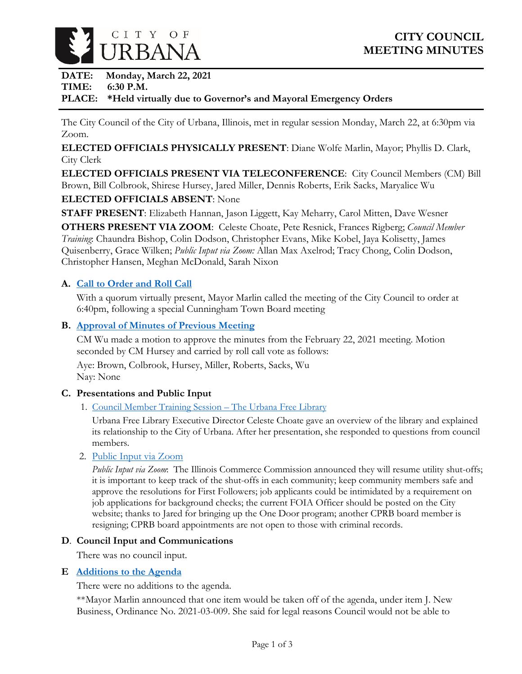

**DATE: Monday, March 22, 2021**

# **TIME: 6:30 P.M.**

# **PLACE: \*Held virtually due to Governor's and Mayoral Emergency Orders**

The City Council of the City of Urbana, Illinois, met in regular session Monday, March 22, at 6:30pm via Zoom.

**ELECTED OFFICIALS PHYSICALLY PRESENT**: Diane Wolfe Marlin, Mayor; Phyllis D. Clark, City Clerk

**ELECTED OFFICIALS PRESENT VIA TELECONFERENCE**: City Council Members (CM) Bill Brown, Bill Colbrook, Shirese Hursey, Jared Miller, Dennis Roberts, Erik Sacks, Maryalice Wu

# **ELECTED OFFICIALS ABSENT**: None

**STAFF PRESENT**: Elizabeth Hannan, Jason Liggett, Kay Meharry, Carol Mitten, Dave Wesner

**OTHERS PRESENT VIA ZOOM**: Celeste Choate, Pete Resnick, Frances Rigberg; *Council Member Training*: Chaundra Bishop, Colin Dodson, Christopher Evans, Mike Kobel, Jaya Kolisetty, James Quisenberry, Grace Wilken; *Public Input via Zoom:* Allan Max Axelrod; Tracy Chong, Colin Dodson, Christopher Hansen, Meghan McDonald, Sarah Nixon

# **A. [Call to Order and Roll Call](https://www.city.urbana.il.us/Scripts/CouncilVideo/Video.asp?v=/_Video/City_Council/2021/20210322/01._Start_of_Meeting.mp4)**

With a quorum virtually present, Mayor Marlin called the meeting of the City Council to order at 6:40pm, following a special Cunningham Town Board meeting

# **B. [Approval of Minutes of Previous Meeting](https://www.city.urbana.il.us/Scripts/CouncilVideo/Video.asp?v=/_Video/City_Council/2021/20210322/01._Start_of_Meeting.mp4)**

CM Wu made a motion to approve the minutes from the February 22, 2021 meeting. Motion seconded by CM Hursey and carried by roll call vote as follows:

Aye: Brown, Colbrook, Hursey, Miller, Roberts, Sacks, Wu Nay: None

# **C. Presentations and Public Input**

1. [Council Member Training Session –](https://www.city.urbana.il.us/Scripts/CouncilVideo/Video.asp?v=/_Video/City_Council/2021/20210322/02._Council_Training_-_The_Urbana_Free_Library.mp4) The Urbana Free Library

Urbana Free Library Executive Director Celeste Choate gave an overview of the library and explained its relationship to the City of Urbana. After her presentation, she responded to questions from council members.

#### 2. [Public Input via Zoom](https://www.city.urbana.il.us/Scripts/CouncilVideo/Video.asp?v=/_Video/City_Council/2021/20210322/03._Public_Input.mp4)

*Public Input via Zoom*: The Illinois Commerce Commission announced they will resume utility shut-offs; it is important to keep track of the shut-offs in each community; keep community members safe and approve the resolutions for First Followers; job applicants could be intimidated by a requirement on job applications for background checks; the current FOIA Officer should be posted on the City website; thanks to Jared for bringing up the One Door program; another CPRB board member is resigning; CPRB board appointments are not open to those with criminal records.

# **D**. **Council Input and Communications**

There was no council input.

# **E [Additions to the Agenda](https://www.city.urbana.il.us/Scripts/CouncilVideo/Video.asp?v=/_Video/City_Council/2021/20210322/03._Public_Input.mp4)**

There were no additions to the agenda.

\*\*Mayor Marlin announced that one item would be taken off of the agenda, under item J. New Business, Ordinance No. 2021-03-009. She said for legal reasons Council would not be able to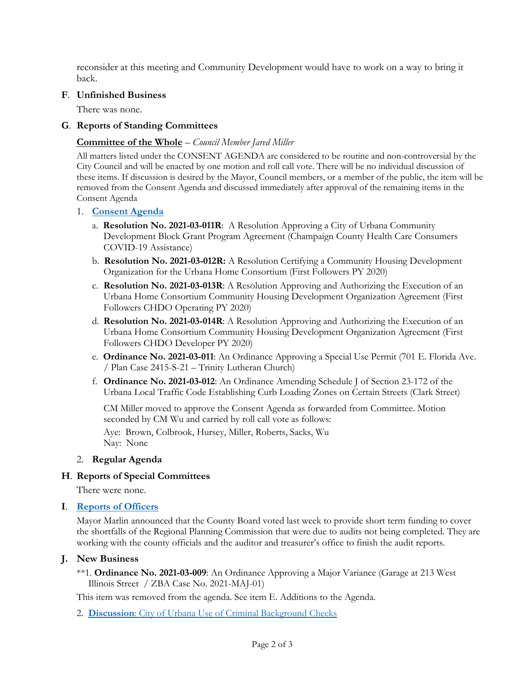reconsider at this meeting and Community Development would have to work on a way to bring it back.

#### **F**. **Unfinished Business**

There was none.

#### **G**. **Reports of Standing Committees**

#### **Committee of the Whole** – *Council Member Jared Miller*

All matters listed under the CONSENT AGENDA are considered to be routine and non-controversial by the City Council and will be enacted by one motion and roll call vote. There will be no individual discussion of these items. If discussion is desired by the Mayor, Council members, or a member of the public, the item will be removed from the Consent Agenda and discussed immediately after approval of the remaining items in the Consent Agenda

#### 1. **[Consent Agenda](https://www.city.urbana.il.us/Scripts/CouncilVideo/Video.asp?v=/_Video/City_Council/2021/20210322/04._Consent_Agenda.mp4)**

- a. **Resolution No. 2021-03-011R**: A Resolution Approving a City of Urbana Community Development Block Grant Program Agreement (Champaign County Health Care Consumers COVID-19 Assistance)
- b. **Resolution No. 2021-03-012R:** A Resolution Certifying a Community Housing Development Organization for the Urbana Home Consortium (First Followers PY 2020)
- c. **Resolution No. 2021-03-013R**: A Resolution Approving and Authorizing the Execution of an Urbana Home Consortium Community Housing Development Organization Agreement (First Followers CHDO Operating PY 2020)
- d. **Resolution No. 2021-03-014R**: A Resolution Approving and Authorizing the Execution of an Urbana Home Consortium Community Housing Development Organization Agreement (First Followers CHDO Developer PY 2020)
- e. **Ordinance No. 2021-03-011**: An Ordinance Approving a Special Use Permit (701 E. Florida Ave. / Plan Case 2415-S-21 – Trinity Lutheran Church)
- f. **Ordinance No. 2021-03-012**: An Ordinance Amending Schedule J of Section 23-172 of the Urbana Local Traffic Code Establishing Curb Loading Zones on Certain Streets (Clark Street)

CM Miller moved to approve the Consent Agenda as forwarded from Committee. Motion seconded by CM Wu and carried by roll call vote as follows:

Aye: Brown, Colbrook, Hursey, Miller, Roberts, Sacks, Wu Nay: None

#### 2. **Regular Agenda**

#### **H**. **Reports of Special Committees**

There were none.

#### **I**. **[Reports of Officers](https://www.city.urbana.il.us/Scripts/CouncilVideo/Video.asp?v=/_Video/City_Council/2021/20210322/05._Reports_of_Officers.mp4)**

Mayor Marlin announced that the County Board voted last week to provide short term funding to cover the shortfalls of the Regional Planning Commission that were due to audits not being completed. They are working with the county officials and the auditor and treasurer's office to finish the audit reports.

#### **J. New Business**

\*\*1. **Ordinance No. 2021-03-009**: An Ordinance Approving a Major Variance (Garage at 213 West Illinois Street / ZBA Case No. 2021-MAJ-01)

This item was removed from the agenda. See item E. Additions to the Agenda.

2. **Discussion**[: City of Urbana Use of Criminal Background Checks](https://www.city.urbana.il.us/Scripts/CouncilVideo/Video.asp?v=/_Video/City_Council/2021/20210322/06._Use_of_Criminal_Background_Checks.mp4)